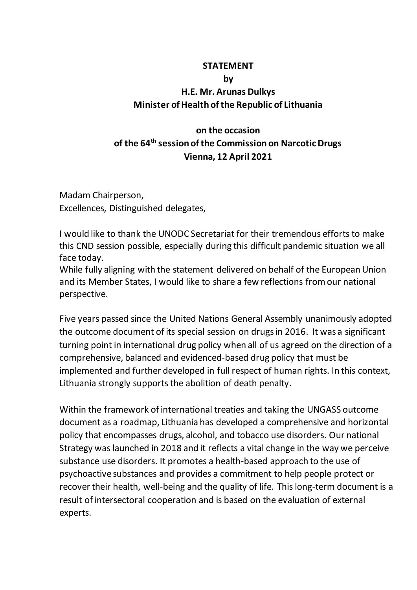## **STATEMENT**

## **by**

## **H.E. Mr. Arunas Dulkys Minister of Health of the Republic of Lithuania**

## **on the occasion of the 64th session of the Commission on Narcotic Drugs Vienna, 12 April 2021**

Madam Chairperson, Excellences, Distinguished delegates,

I would like to thank the UNODC Secretariat for their tremendous efforts to make this CND session possible, especially during this difficult pandemic situation we all face today.

While fully aligning with the statement delivered on behalf of the European Union and its Member States, I would like to share a few reflections from our national perspective.

Five years passed since the United Nations General Assembly unanimously adopted the outcome document of its special session on drugsin 2016. It was a significant turning point in international drug policy when all of us agreed on the direction of a comprehensive, balanced and evidenced-based drug policy that must be implemented and further developed in full respect of human rights. In this context, Lithuania strongly supports the abolition of death penalty.

Within the framework of international treaties and taking the UNGASS outcome document as a roadmap, Lithuania has developed a comprehensive and horizontal policy that encompasses drugs, alcohol, and tobacco use disorders. Our national Strategy was launched in 2018 and it reflects a vital change in the way we perceive substance use disorders. It promotes a health-based approach to the use of psychoactive substances and provides a commitment to help people protect or recover their health, well-being and the quality of life. This long-term document is a result of intersectoral cooperation and is based on the evaluation of external experts.